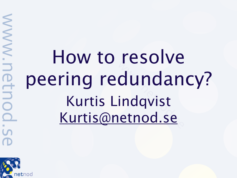## How to resolve peering redundancy? Kurtis Lindqvist [Kurtis@netnod.se](mailto:Kurtis@netnod.se)



WW.netn

 $\overline{O}$ 

S.D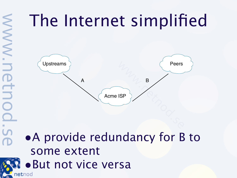## The Internet simplified



#### •A provide redundancy for B to some extent **R** • But not vice versa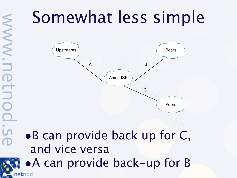netnod



#### •B can provide back up for C, and vice versa

•A can provide back-up for B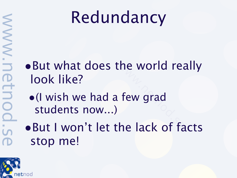#### Redundancy

- •But what does the world really look like?
	- •(I wish we had a few grad students now...)
- •But I won't let the lack of facts stop me!

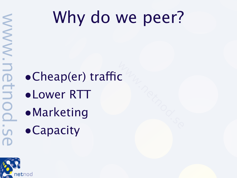- $\bullet$ Cheap(er) traffic
- •Lower RTT
- •Marketing
- **•Capacity**



WWW.n

FtD

OO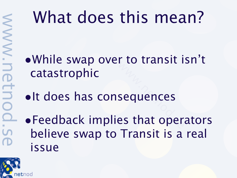### What does this mean?

•While swap over to transit isn't catastrophic

- •It does has consequences
- •Feedback implies that operators believe swap to Transit is a real issue

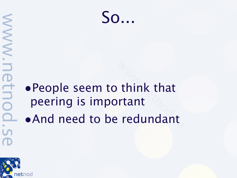

#### •People seem to think that peering is important •And need to be redundant

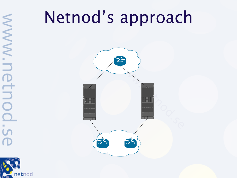#### Netnod's approach





WWW.n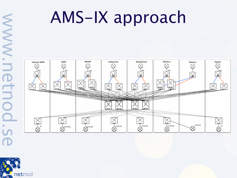# WW.NN. **OHN**

### AMS-IX approach



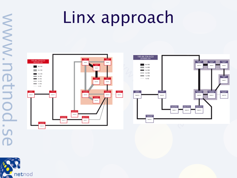## Linx approach



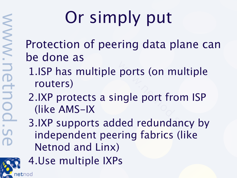# Or simply put

Protection of peering data plane can be done as

- 1.ISP has multiple ports (on multiple routers)
- 2.IXP protects a single port from ISP (like AMS-IX
- 3.IXP supports added redundancy by independent peering fabrics (like Netnod and Linx)

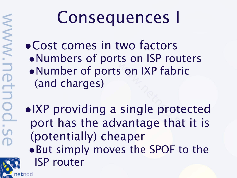netnod

#### Consequences I

- •Cost comes in two factors •Numbers of ports on ISP routers •Number of ports on IXP fabric (and charges)
- •IXP providing a single protected port has the advantage that it is (potentially) cheaper
- •But simply moves the SPOF to the ISP router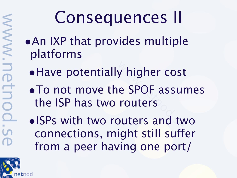#### Consequences II

- •An IXP that provides multiple platforms
	- •Have potentially higher cost
	- •To not move the SPOF assumes the ISP has two routers

•ISPs with two routers and two connections, might still suffer from a peer having one port/

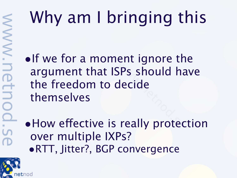# Why am I bringing this

•If we for a moment ignore the argument that ISPs should have the freedom to decide themselves

• How effective is really protection over multiple IXPs? •RTT, Jitter?, BGP convergence

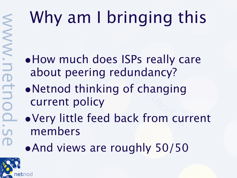# Why am I bringing this

- •How much does ISPs really care about peering redundancy?
- •Netnod thinking of changing current policy
- •Very little feed back from current members
- •And views are roughly 50/50